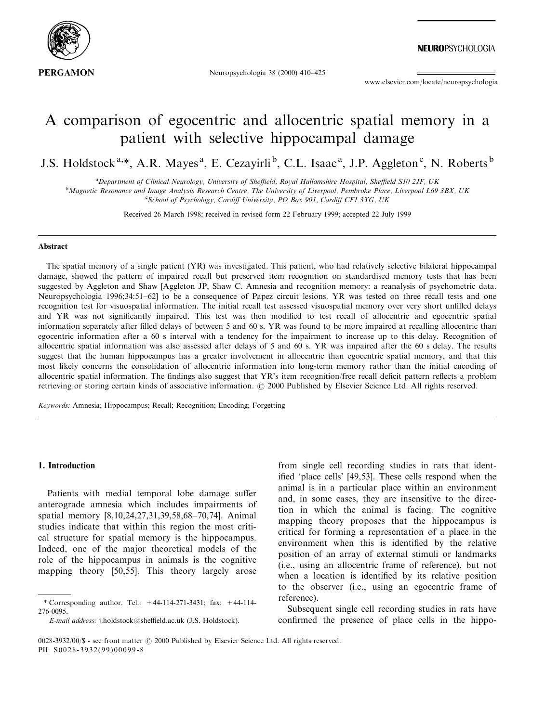

Neuropsychologia 38 (2000) 410-425

www.elsevier.com/locate/neuropsychologia

## A comparison of egocentric and allocentric spatial memory in a patient with selective hippocampal damage

J.S. Holdstock<sup>a,\*</sup>, A.R. Mayes<sup>a</sup>, E. Cezayirli<sup>b</sup>, C.L. Isaac<sup>a</sup>, J.P. Aggleton<sup>c</sup>, N. Roberts<sup>b</sup>

<sup>a</sup> Department of Clinical Neurology, University of Sheffield, Royal Hallamshire Hospital, Sheffield S10 2JF, UK<br><sup>b</sup> Magnatic Basenance and Image Anglysis Basearsh Centre, The University of Liverpool, Baphysics Blace, Live <sup>b</sup>Magnetic Resonance and Image Analysis Research Centre, The University of Liverpool, Pembroke Place, Liverpool L69 3BX, UK <sup>c</sup>School of Psychology, Cardiff University, PO Box 901, Cardiff CF1 3YG, UK

Received 26 March 1998; received in revised form 22 February 1999; accepted 22 July 1999

## Abstract

The spatial memory of a single patient (YR) was investigated. This patient, who had relatively selective bilateral hippocampal damage, showed the pattern of impaired recall but preserved item recognition on standardised memory tests that has been suggested by Aggleton and Shaw [Aggleton JP, Shaw C. Amnesia and recognition memory: a reanalysis of psychometric data. Neuropsychologia 1996;34:51-62] to be a consequence of Papez circuit lesions. YR was tested on three recall tests and one recognition test for visuospatial information. The initial recall test assessed visuospatial memory over very short unfilled delays and YR was not significantly impaired. This test was then modified to test recall of allocentric and egocentric spatial information separately after filled delays of between 5 and 60 s. YR was found to be more impaired at recalling allocentric than egocentric information after a 60 s interval with a tendency for the impairment to increase up to this delay. Recognition of allocentric spatial information was also assessed after delays of 5 and 60 s. YR was impaired after the 60 s delay. The results suggest that the human hippocampus has a greater involvement in allocentric than egocentric spatial memory, and that this most likely concerns the consolidation of allocentric information into long-term memory rather than the initial encoding of allocentric spatial information. The findings also suggest that YR's item recognition/free recall deficit pattern reflects a problem retrieving or storing certain kinds of associative information.  $\oslash$  2000 Published by Elsevier Science Ltd. All rights reserved.

Keywords: Amnesia; Hippocampus; Recall; Recognition; Encoding; Forgetting

## 1. Introduction

Patients with medial temporal lobe damage suffer anterograde amnesia which includes impairments of spatial memory [8,10,24,27,31,39,58,68-70,74]. Animal studies indicate that within this region the most critical structure for spatial memory is the hippocampus. Indeed, one of the major theoretical models of the role of the hippocampus in animals is the cognitive mapping theory [50,55]. This theory largely arose

from single cell recording studies in rats that identified 'place cells' [49,53]. These cells respond when the animal is in a particular place within an environment and, in some cases, they are insensitive to the direction in which the animal is facing. The cognitive mapping theory proposes that the hippocampus is critical for forming a representation of a place in the environment when this is identified by the relative position of an array of external stimuli or landmarks (i.e., using an allocentric frame of reference), but not when a location is identified by its relative position to the observer (i.e., using an egocentric frame of reference).

Subsequent single cell recording studies in rats have confirmed the presence of place cells in the hippo-

<sup>\*</sup> Corresponding author. Tel.: +44-114-271-3431; fax: +44-114- 276-0095.

E-mail address: j.holdstock@sheffield.ac.uk (J.S. Holdstock).

<sup>0028-3932/00/\$ -</sup> see front matter  $\odot$  2000 Published by Elsevier Science Ltd. All rights reserved. PII: S0028-3932(99)00099-8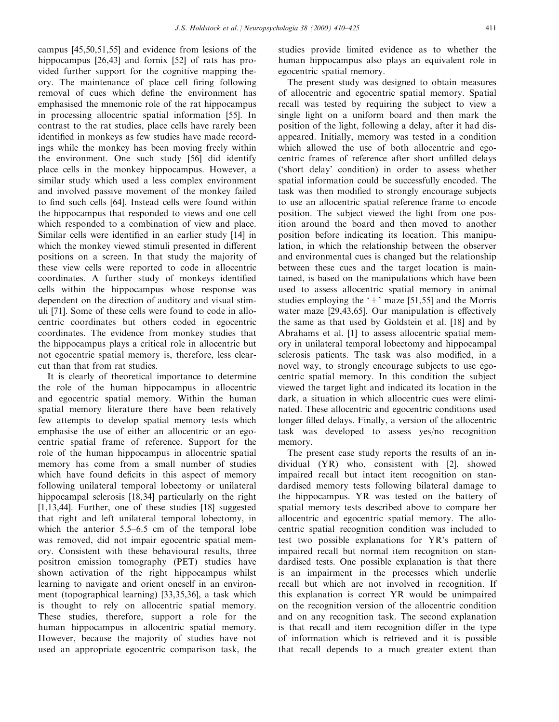campus [45,50,51,55] and evidence from lesions of the hippocampus [26,43] and fornix [52] of rats has provided further support for the cognitive mapping theory. The maintenance of place cell firing following removal of cues which define the environment has emphasised the mnemonic role of the rat hippocampus in processing allocentric spatial information [55]. In contrast to the rat studies, place cells have rarely been identified in monkeys as few studies have made recordings while the monkey has been moving freely within the environment. One such study [56] did identify place cells in the monkey hippocampus. However, a similar study which used a less complex environment and involved passive movement of the monkey failed to find such cells [64]. Instead cells were found within the hippocampus that responded to views and one cell which responded to a combination of view and place. Similar cells were identified in an earlier study [14] in which the monkey viewed stimuli presented in different positions on a screen. In that study the majority of these view cells were reported to code in allocentric coordinates. A further study of monkeys identified cells within the hippocampus whose response was dependent on the direction of auditory and visual stimuli [71]. Some of these cells were found to code in allocentric coordinates but others coded in egocentric coordinates. The evidence from monkey studies that the hippocampus plays a critical role in allocentric but not egocentric spatial memory is, therefore, less clearcut than that from rat studies.

It is clearly of theoretical importance to determine the role of the human hippocampus in allocentric and egocentric spatial memory. Within the human spatial memory literature there have been relatively few attempts to develop spatial memory tests which emphasise the use of either an allocentric or an egocentric spatial frame of reference. Support for the role of the human hippocampus in allocentric spatial memory has come from a small number of studies which have found deficits in this aspect of memory following unilateral temporal lobectomy or unilateral hippocampal sclerosis [18,34] particularly on the right [1,13,44]. Further, one of these studies [18] suggested that right and left unilateral temporal lobectomy, in which the anterior  $5.5-6.5$  cm of the temporal lobe was removed, did not impair egocentric spatial memory. Consistent with these behavioural results, three positron emission tomography (PET) studies have shown activation of the right hippocampus whilst learning to navigate and orient oneself in an environment (topographical learning) [33,35,36], a task which is thought to rely on allocentric spatial memory. These studies, therefore, support a role for the human hippocampus in allocentric spatial memory. However, because the majority of studies have not used an appropriate egocentric comparison task, the

studies provide limited evidence as to whether the human hippocampus also plays an equivalent role in egocentric spatial memory.

The present study was designed to obtain measures of allocentric and egocentric spatial memory. Spatial recall was tested by requiring the subject to view a single light on a uniform board and then mark the position of the light, following a delay, after it had disappeared. Initially, memory was tested in a condition which allowed the use of both allocentric and egocentric frames of reference after short unfilled delays (`short delay' condition) in order to assess whether spatial information could be successfully encoded. The task was then modified to strongly encourage subjects to use an allocentric spatial reference frame to encode position. The subject viewed the light from one position around the board and then moved to another position before indicating its location. This manipulation, in which the relationship between the observer and environmental cues is changed but the relationship between these cues and the target location is maintained, is based on the manipulations which have been used to assess allocentric spatial memory in animal studies employing the  $+$  maze [51,55] and the Morris water maze  $[29,43,65]$ . Our manipulation is effectively the same as that used by Goldstein et al. [18] and by Abrahams et al. [1] to assess allocentric spatial memory in unilateral temporal lobectomy and hippocampal sclerosis patients. The task was also modified, in a novel way, to strongly encourage subjects to use egocentric spatial memory. In this condition the subject viewed the target light and indicated its location in the dark, a situation in which allocentric cues were eliminated. These allocentric and egocentric conditions used longer filled delays. Finally, a version of the allocentric task was developed to assess yes/no recognition memory.

The present case study reports the results of an individual (YR) who, consistent with [2], showed impaired recall but intact item recognition on standardised memory tests following bilateral damage to the hippocampus. YR was tested on the battery of spatial memory tests described above to compare her allocentric and egocentric spatial memory. The allocentric spatial recognition condition was included to test two possible explanations for YR's pattern of impaired recall but normal item recognition on standardised tests. One possible explanation is that there is an impairment in the processes which underlie recall but which are not involved in recognition. If this explanation is correct YR would be unimpaired on the recognition version of the allocentric condition and on any recognition task. The second explanation is that recall and item recognition differ in the type of information which is retrieved and it is possible that recall depends to a much greater extent than